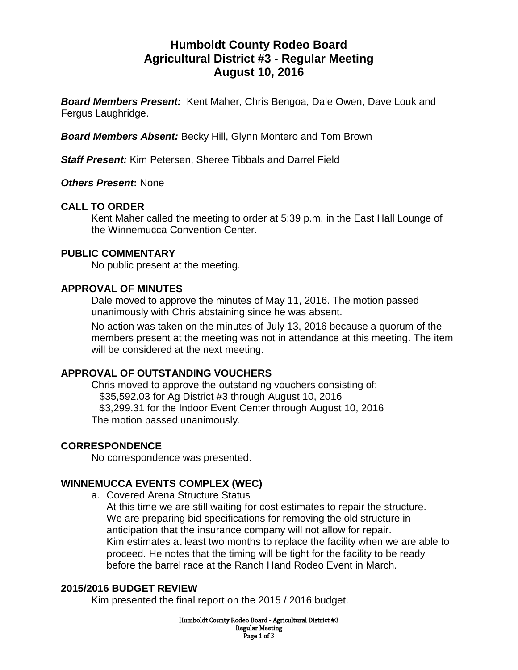# **Humboldt County Rodeo Board Agricultural District #3 - Regular Meeting August 10, 2016**

*Board Members Present:* Kent Maher, Chris Bengoa, Dale Owen, Dave Louk and Fergus Laughridge.

*Board Members Absent:* Becky Hill, Glynn Montero and Tom Brown

*Staff Present:* Kim Petersen, Sheree Tibbals and Darrel Field

*Others Present***:** None

## **CALL TO ORDER**

Kent Maher called the meeting to order at 5:39 p.m. in the East Hall Lounge of the Winnemucca Convention Center.

#### **PUBLIC COMMENTARY**

No public present at the meeting.

#### **APPROVAL OF MINUTES**

Dale moved to approve the minutes of May 11, 2016. The motion passed unanimously with Chris abstaining since he was absent.

No action was taken on the minutes of July 13, 2016 because a quorum of the members present at the meeting was not in attendance at this meeting. The item will be considered at the next meeting.

## **APPROVAL OF OUTSTANDING VOUCHERS**

Chris moved to approve the outstanding vouchers consisting of: \$35,592.03 for Ag District #3 through August 10, 2016 \$3,299.31 for the Indoor Event Center through August 10, 2016 The motion passed unanimously.

## **CORRESPONDENCE**

No correspondence was presented.

## **WINNEMUCCA EVENTS COMPLEX (WEC)**

a. Covered Arena Structure Status

At this time we are still waiting for cost estimates to repair the structure. We are preparing bid specifications for removing the old structure in anticipation that the insurance company will not allow for repair. Kim estimates at least two months to replace the facility when we are able to proceed. He notes that the timing will be tight for the facility to be ready before the barrel race at the Ranch Hand Rodeo Event in March.

#### **2015/2016 BUDGET REVIEW**

Kim presented the final report on the 2015 / 2016 budget.

Humboldt County Rodeo Board - Agricultural District #3 Regular Meeting Page 1 of 3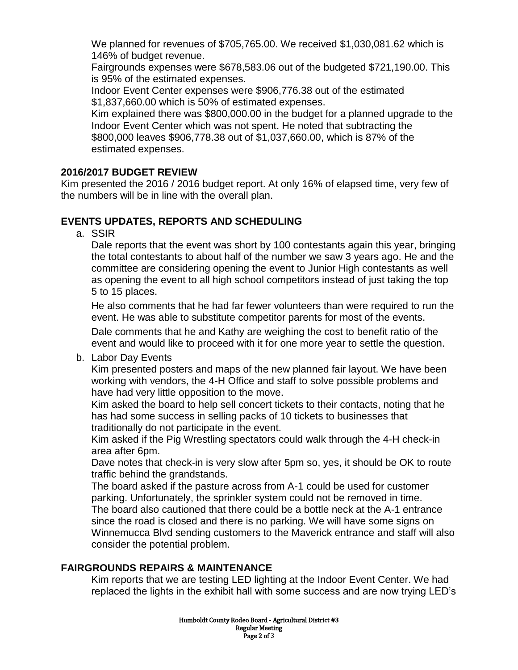We planned for revenues of \$705,765.00. We received \$1,030,081.62 which is 146% of budget revenue.

Fairgrounds expenses were \$678,583.06 out of the budgeted \$721,190.00. This is 95% of the estimated expenses.

Indoor Event Center expenses were \$906,776.38 out of the estimated \$1,837,660.00 which is 50% of estimated expenses.

Kim explained there was \$800,000.00 in the budget for a planned upgrade to the Indoor Event Center which was not spent. He noted that subtracting the \$800,000 leaves \$906,778.38 out of \$1,037,660.00, which is 87% of the estimated expenses.

## **2016/2017 BUDGET REVIEW**

Kim presented the 2016 / 2016 budget report. At only 16% of elapsed time, very few of the numbers will be in line with the overall plan.

## **EVENTS UPDATES, REPORTS AND SCHEDULING**

a. SSIR

Dale reports that the event was short by 100 contestants again this year, bringing the total contestants to about half of the number we saw 3 years ago. He and the committee are considering opening the event to Junior High contestants as well as opening the event to all high school competitors instead of just taking the top 5 to 15 places.

He also comments that he had far fewer volunteers than were required to run the event. He was able to substitute competitor parents for most of the events.

Dale comments that he and Kathy are weighing the cost to benefit ratio of the event and would like to proceed with it for one more year to settle the question.

b. Labor Day Events

Kim presented posters and maps of the new planned fair layout. We have been working with vendors, the 4-H Office and staff to solve possible problems and have had very little opposition to the move.

Kim asked the board to help sell concert tickets to their contacts, noting that he has had some success in selling packs of 10 tickets to businesses that traditionally do not participate in the event.

Kim asked if the Pig Wrestling spectators could walk through the 4-H check-in area after 6pm.

Dave notes that check-in is very slow after 5pm so, yes, it should be OK to route traffic behind the grandstands.

The board asked if the pasture across from A-1 could be used for customer parking. Unfortunately, the sprinkler system could not be removed in time. The board also cautioned that there could be a bottle neck at the A-1 entrance since the road is closed and there is no parking. We will have some signs on Winnemucca Blvd sending customers to the Maverick entrance and staff will also consider the potential problem.

## **FAIRGROUNDS REPAIRS & MAINTENANCE**

Kim reports that we are testing LED lighting at the Indoor Event Center. We had replaced the lights in the exhibit hall with some success and are now trying LED's